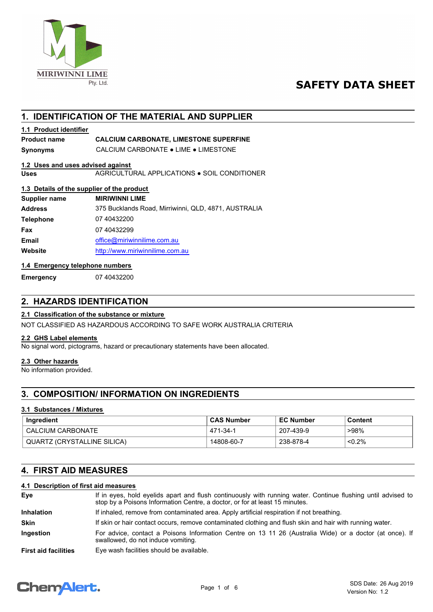

# **SAFETY DATA SHEET**

# **1. IDENTIFICATION OF THE MATERIAL AND SUPPLIER**

# **1.1 Product identifier**

## **Product name CALCIUM CARBONATE, LIMESTONE SUPERFINE**

**Synonyms** CALCIUM CARBONATE ● LIME ● LIMESTONE

### **1.2 Uses and uses advised against**

**Uses** AGRICULTURAL APPLICATIONS ● SOIL CONDITIONER

### **1.3 Details of the supplier of the product**

| Supplier name    | <b>MIRIWINNI LIME</b>                                |
|------------------|------------------------------------------------------|
| <b>Address</b>   | 375 Bucklands Road, Mirriwinni, QLD, 4871, AUSTRALIA |
| <b>Telephone</b> | 07 40432200                                          |
| Fax              | 07 40432299                                          |
| Email            | office@miriwinnilime.com.au                          |
| Website          | http://www.miriwinnilime.com.au                      |
|                  |                                                      |

### **1.4 Emergency telephone numbers**

**Emergency** 07 40432200

# **2. HAZARDS IDENTIFICATION**

### **2.1 Classification of the substance or mixture**

NOT CLASSIFIED AS HAZARDOUS ACCORDING TO SAFE WORK AUSTRALIA CRITERIA

### **2.2 GHS Label elements**

No signal word, pictograms, hazard or precautionary statements have been allocated.

### **2.3 Other hazards**

No information provided.

# **3. COMPOSITION/ INFORMATION ON INGREDIENTS**

### **3.1 Substances / Mixtures**

| Ingredient                  | <b>CAS Number</b> | <b>EC Number</b> | Content   |
|-----------------------------|-------------------|------------------|-----------|
| CALCIUM CARBONATE           | 471-34-1          | 207-439-9        | >98%      |
| QUARTZ (CRYSTALLINE SILICA) | 14808-60-7        | 238-878-4        | $< 0.2\%$ |

# **4. FIRST AID MEASURES**

### **4.1 Description of first aid measures**

| Eye                         | If in eyes, hold eyelids apart and flush continuously with running water. Continue flushing until advised to<br>stop by a Poisons Information Centre, a doctor, or for at least 15 minutes. |  |  |
|-----------------------------|---------------------------------------------------------------------------------------------------------------------------------------------------------------------------------------------|--|--|
| <b>Inhalation</b>           | If inhaled, remove from contaminated area. Apply artificial respiration if not breathing.                                                                                                   |  |  |
| <b>Skin</b>                 | If skin or hair contact occurs, remove contaminated clothing and flush skin and hair with running water.                                                                                    |  |  |
| <b>Ingestion</b>            | For advice, contact a Poisons Information Centre on 13 11 26 (Australia Wide) or a doctor (at once). If<br>swallowed, do not induce vomiting.                                               |  |  |
| <b>First aid facilities</b> | Eye wash facilities should be available.                                                                                                                                                    |  |  |

# **ChemAlert.**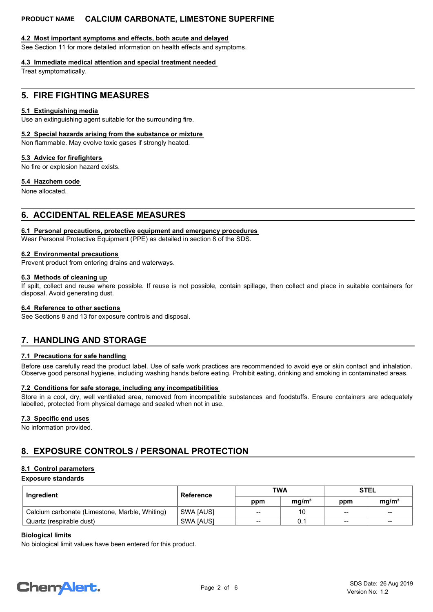### **4.2 Most important symptoms and effects, both acute and delayed**

See Section 11 for more detailed information on health effects and symptoms.

### **4.3 Immediate medical attention and special treatment needed**

Treat symptomatically.

## **5. FIRE FIGHTING MEASURES**

### **5.1 Extinguishing media**

Use an extinguishing agent suitable for the surrounding fire.

### **5.2 Special hazards arising from the substance or mixture**

Non flammable. May evolve toxic gases if strongly heated.

### **5.3 Advice for firefighters**

No fire or explosion hazard exists.

### **5.4 Hazchem code**

None allocated.

# **6. ACCIDENTAL RELEASE MEASURES**

### **6.1 Personal precautions, protective equipment and emergency procedures**

Wear Personal Protective Equipment (PPE) as detailed in section 8 of the SDS.

### **6.2 Environmental precautions**

Prevent product from entering drains and waterways.

### **6.3 Methods of cleaning up**

If spilt, collect and reuse where possible. If reuse is not possible, contain spillage, then collect and place in suitable containers for disposal. Avoid generating dust.

### **6.4 Reference to other sections**

See Sections 8 and 13 for exposure controls and disposal.

# **7. HANDLING AND STORAGE**

### **7.1 Precautions for safe handling**

Before use carefully read the product label. Use of safe work practices are recommended to avoid eye or skin contact and inhalation. Observe good personal hygiene, including washing hands before eating. Prohibit eating, drinking and smoking in contaminated areas.

### **7.2 Conditions for safe storage, including any incompatibilities**

Store in a cool, dry, well ventilated area, removed from incompatible substances and foodstuffs. Ensure containers are adequately labelled, protected from physical damage and sealed when not in use.

### **7.3 Specific end uses**

No information provided.

# **8. EXPOSURE CONTROLS / PERSONAL PROTECTION**

### **8.1 Control parameters**

### **Exposure standards**

| Ingredient                                     | Reference        | TWA             |                   | <b>STEL</b>     |                   |
|------------------------------------------------|------------------|-----------------|-------------------|-----------------|-------------------|
|                                                |                  | ppm             | mq/m <sup>3</sup> | ppm             | ma/m <sup>3</sup> |
| Calcium carbonate (Limestone, Marble, Whiting) | <b>SWA JAUSI</b> | --              | 10                | $\qquad \qquad$ | $- -$             |
| Quartz (respirable dust)                       | <b>SWA JAUSI</b> | $\qquad \qquad$ |                   | $\qquad \qquad$ | $\qquad \qquad$   |

### **Biological limits**

No biological limit values have been entered for this product.

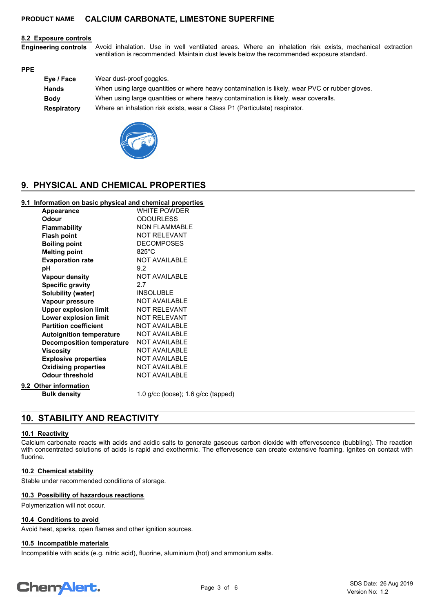### **8.2 Exposure controls**

Avoid inhalation. Use in well ventilated areas. Where an inhalation risk exists, mechanical extraction ventilation is recommended. Maintain dust levels below the recommended exposure standard. **Engineering controls**

#### **PPE**

| Eye / Face  | Wear dust-proof goggles.                                                                       |
|-------------|------------------------------------------------------------------------------------------------|
| Hands       | When using large quantities or where heavy contamination is likely, wear PVC or rubber gloves. |
| <b>Body</b> | When using large quantities or where heavy contamination is likely, wear coveralls.            |
| Respiratory | Where an inhalation risk exists, wear a Class P1 (Particulate) respirator.                     |



# **9. PHYSICAL AND CHEMICAL PROPERTIES**

### **9.1 Information on basic physical and chemical properties**

| Appearance                       | <b>WHITE POWDER</b>                 |
|----------------------------------|-------------------------------------|
| Odour                            | <b>ODOURLESS</b>                    |
| <b>Flammability</b>              | <b>NON FLAMMABLE</b>                |
| <b>Flash point</b>               | <b>NOT RELEVANT</b>                 |
| <b>Boiling point</b>             | <b>DECOMPOSES</b>                   |
| <b>Melting point</b>             | $825^{\circ}$ C                     |
| <b>Evaporation rate</b>          | NOT AVAILABLE                       |
| рH                               | 9.2                                 |
| <b>Vapour density</b>            | <b>NOT AVAILABLE</b>                |
| <b>Specific gravity</b>          | 2.7                                 |
| Solubility (water)               | <b>INSOLUBLE</b>                    |
| Vapour pressure                  | <b>NOT AVAILABLE</b>                |
| <b>Upper explosion limit</b>     | <b>NOT RELEVANT</b>                 |
| Lower explosion limit            | <b>NOT RELEVANT</b>                 |
| <b>Partition coefficient</b>     | <b>NOT AVAILABLE</b>                |
| <b>Autoignition temperature</b>  | <b>NOT AVAILABLE</b>                |
| <b>Decomposition temperature</b> | <b>NOT AVAILABLE</b>                |
| <b>Viscosity</b>                 | <b>NOT AVAILABLE</b>                |
| <b>Explosive properties</b>      | <b>NOT AVAILABLE</b>                |
| <b>Oxidising properties</b>      | <b>NOT AVAILABLE</b>                |
| <b>Odour threshold</b>           | <b>NOT AVAILABLE</b>                |
| 9.2 Other information            |                                     |
| <b>Bulk density</b>              | 1.0 g/cc (loose); 1.6 g/cc (tapped) |
|                                  |                                     |

# **10. STABILITY AND REACTIVITY**

### **10.1 Reactivity**

Calcium carbonate reacts with acids and acidic salts to generate gaseous carbon dioxide with effervescence (bubbling). The reaction with concentrated solutions of acids is rapid and exothermic. The effervesence can create extensive foaming. Ignites on contact with fluorine.

### **10.2 Chemical stability**

Stable under recommended conditions of storage.

### **10.3 Possibility of hazardous reactions**

Polymerization will not occur.

### **10.4 Conditions to avoid**

Avoid heat, sparks, open flames and other ignition sources.

### **10.5 Incompatible materials**

Incompatible with acids (e.g. nitric acid), fluorine, aluminium (hot) and ammonium salts.

# **ChemAlert.**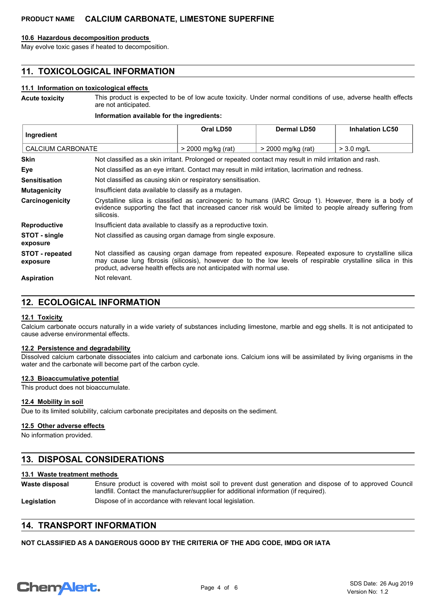### **10.6 Hazardous decomposition products**

May evolve toxic gases if heated to decomposition.

# **11. TOXICOLOGICAL INFORMATION**

### **11.1 Information on toxicological effects**

This product is expected to be of low acute toxicity. Under normal conditions of use, adverse health effects are not anticipated. **Acute toxicity**

### **Information available for the ingredients:**

| Ingredient                         |                                                                                                                                                                                                                                                                                               | Oral LD50                                                                                          | Dermal LD50        | <b>Inhalation LC50</b> |
|------------------------------------|-----------------------------------------------------------------------------------------------------------------------------------------------------------------------------------------------------------------------------------------------------------------------------------------------|----------------------------------------------------------------------------------------------------|--------------------|------------------------|
| <b>CALCIUM CARBONATE</b>           |                                                                                                                                                                                                                                                                                               | > 2000 mg/kg (rat)                                                                                 | > 2000 mg/kg (rat) | $>$ 3.0 ma/L           |
| <b>Skin</b>                        | Not classified as a skin irritant. Prolonged or repeated contact may result in mild irritation and rash.                                                                                                                                                                                      |                                                                                                    |                    |                        |
| Eye                                |                                                                                                                                                                                                                                                                                               | Not classified as an eye irritant. Contact may result in mild irritation, lacrimation and redness. |                    |                        |
| <b>Sensitisation</b>               | Not classified as causing skin or respiratory sensitisation.                                                                                                                                                                                                                                  |                                                                                                    |                    |                        |
| <b>Mutagenicity</b>                | Insufficient data available to classify as a mutagen.                                                                                                                                                                                                                                         |                                                                                                    |                    |                        |
| Carcinogenicity                    | Crystalline silica is classified as carcinogenic to humans (IARC Group 1). However, there is a body of<br>evidence supporting the fact that increased cancer risk would be limited to people already suffering from<br>silicosis.                                                             |                                                                                                    |                    |                        |
| <b>Reproductive</b>                | Insufficient data available to classify as a reproductive toxin.                                                                                                                                                                                                                              |                                                                                                    |                    |                        |
| STOT - single<br>exposure          | Not classified as causing organ damage from single exposure.                                                                                                                                                                                                                                  |                                                                                                    |                    |                        |
| <b>STOT</b> - repeated<br>exposure | Not classified as causing organ damage from repeated exposure. Repeated exposure to crystalline silica<br>may cause lung fibrosis (silicosis), however due to the low levels of respirable crystalline silica in this<br>product, adverse health effects are not anticipated with normal use. |                                                                                                    |                    |                        |
| <b>Aspiration</b>                  | Not relevant.                                                                                                                                                                                                                                                                                 |                                                                                                    |                    |                        |

## **12. ECOLOGICAL INFORMATION**

### **12.1 Toxicity**

Calcium carbonate occurs naturally in a wide variety of substances including limestone, marble and egg shells. It is not anticipated to cause adverse environmental effects.

### **12.2 Persistence and degradability**

Dissolved calcium carbonate dissociates into calcium and carbonate ions. Calcium ions will be assimilated by living organisms in the water and the carbonate will become part of the carbon cycle.

### **12.3 Bioaccumulative potential**

This product does not bioaccumulate.

### **12.4 Mobility in soil**

Due to its limited solubility, calcium carbonate precipitates and deposits on the sediment.

### **12.5 Other adverse effects**

No information provided.

### **13. DISPOSAL CONSIDERATIONS**

### **13.1 Waste treatment methods**

- Ensure product is covered with moist soil to prevent dust generation and dispose of to approved Council landfill. Contact the manufacturer/supplier for additional information (if required). **Waste disposal**
- Legislation **Dispose of in accordance with relevant local legislation.**

# **14. TRANSPORT INFORMATION**

### **NOT CLASSIFIED AS A DANGEROUS GOOD BY THE CRITERIA OF THE ADG CODE, IMDG OR IATA**

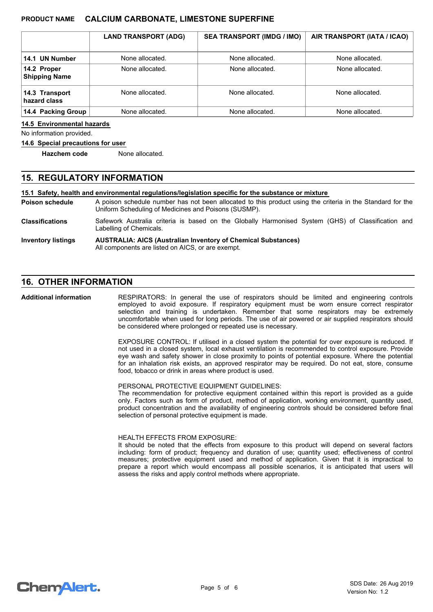|                                     | <b>LAND TRANSPORT (ADG)</b> | <b>SEA TRANSPORT (IMDG / IMO)</b> | AIR TRANSPORT (IATA / ICAO) |
|-------------------------------------|-----------------------------|-----------------------------------|-----------------------------|
| 14.1 UN Number                      | None allocated.             | None allocated.                   | None allocated.             |
| 14.2 Proper<br><b>Shipping Name</b> | None allocated.             | None allocated.                   | None allocated.             |
| 14.3 Transport<br>hazard class      | None allocated.             | None allocated.                   | None allocated.             |
| 14.4 Packing Group                  | None allocated.             | None allocated.                   | None allocated.             |

### **14.5 Environmental hazards**

No information provided.

#### **14.6 Special precautions for user**

**Hazchem code** None allocated.

### **15. REGULATORY INFORMATION**

#### **15.1 Safety, health and environmental regulations/legislation specific for the substance or mixture**

A poison schedule number has not been allocated to this product using the criteria in the Standard for the Uniform Scheduling of Medicines and Poisons (SUSMP). **Poison schedule**

Safework Australia criteria is based on the Globally Harmonised System (GHS) of Classification and Labelling of Chemicals. **Classifications**

#### **AUSTRALIA: AICS (Australian Inventory of Chemical Substances)** All components are listed on AICS, or are exempt. **Inventory listings**

# **16. OTHER INFORMATION**

RESPIRATORS: In general the use of respirators should be limited and engineering controls employed to avoid exposure. If respiratory equipment must be worn ensure correct respirator selection and training is undertaken. Remember that some respirators may be extremely uncomfortable when used for long periods. The use of air powered or air supplied respirators should be considered where prolonged or repeated use is necessary. **Additional information**

> EXPOSURE CONTROL: If utilised in a closed system the potential for over exposure is reduced. If not used in a closed system, local exhaust ventilation is recommended to control exposure. Provide eye wash and safety shower in close proximity to points of potential exposure. Where the potential for an inhalation risk exists, an approved respirator may be required. Do not eat, store, consume food, tobacco or drink in areas where product is used.

PERSONAL PROTECTIVE EQUIPMENT GUIDELINES:

The recommendation for protective equipment contained within this report is provided as a guide only. Factors such as form of product, method of application, working environment, quantity used, product concentration and the availability of engineering controls should be considered before final selection of personal protective equipment is made.

#### HEALTH EFFECTS FROM EXPOSURE:

It should be noted that the effects from exposure to this product will depend on several factors including: form of product; frequency and duration of use; quantity used; effectiveness of control measures; protective equipment used and method of application. Given that it is impractical to prepare a report which would encompass all possible scenarios, it is anticipated that users will assess the risks and apply control methods where appropriate.